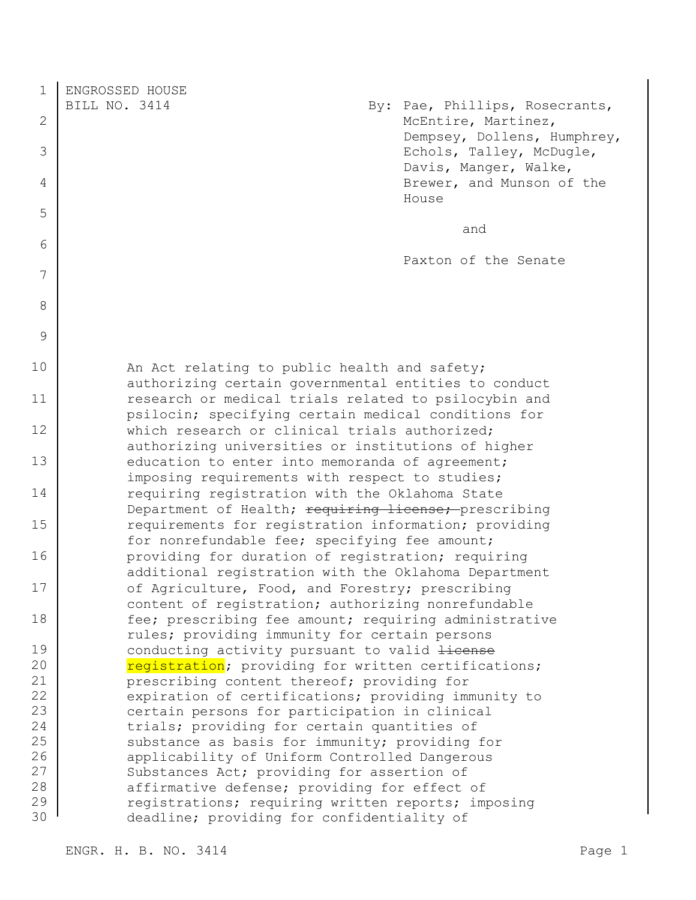1 ENGROSSED HOUSE BILL NO. 3414 By: Pae, Phillips, Rosecrants, 2 McEntire, Martinez, Dempsey, Dollens, Humphrey, 3 Echols, Talley, McDugle, Davis, Manger, Walke, 4 Brewer, and Munson of the House 5 and 6 Paxton of the Senate 7 8 9 10 | An Act relating to public health and safety; authorizing certain governmental entities to conduct 11 research or medical trials related to psilocybin and psilocin; specifying certain medical conditions for 12 which research or clinical trials authorized; authorizing universities or institutions of higher 13 education to enter into memoranda of agreement; imposing requirements with respect to studies; 14 requiring registration with the Oklahoma State Department of Health; requiring license; prescribing 15 **example 15** requirements for registration information; providing for nonrefundable fee; specifying fee amount; 16 **providing for duration of registration; requiring** additional registration with the Oklahoma Department 17 of Agriculture, Food, and Forestry; prescribing content of registration; authorizing nonrefundable 18 fee; prescribing fee amount; requiring administrative rules; providing immunity for certain persons 19 conducting activity pursuant to valid <del>license</del> 20 | registration; providing for written certifications; 21 prescribing content thereof; providing for 22 expiration of certifications; providing immunity to 23 certain persons for participation in clinical 24 trials; providing for certain quantities of 25 substance as basis for immunity; providing for 26 applicability of Uniform Controlled Dangerous 27 Substances Act; providing for assertion of 28 affirmative defense; providing for effect of 29 reqistrations; requiring written reports; imposing 30 deadline; providing for confidentiality of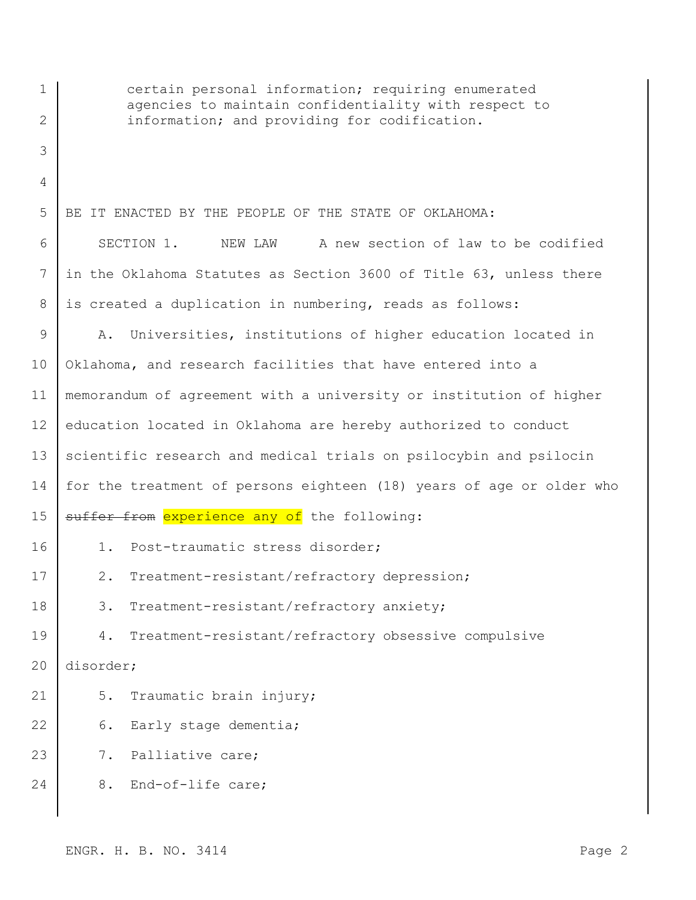| $\mathbf 1$ | certain personal information; requiring enumerated<br>agencies to maintain confidentiality with respect to |
|-------------|------------------------------------------------------------------------------------------------------------|
| 2           | information; and providing for codification.                                                               |
| 3           |                                                                                                            |
| 4           |                                                                                                            |
| 5           | BE IT ENACTED BY THE PEOPLE OF THE STATE OF OKLAHOMA:                                                      |
| 6           | SECTION 1.<br>A new section of law to be codified<br>NEW LAW                                               |
| 7           | in the Oklahoma Statutes as Section 3600 of Title 63, unless there                                         |
| 8           | is created a duplication in numbering, reads as follows:                                                   |
| 9           | Universities, institutions of higher education located in<br>Α.                                            |
| 10          | Oklahoma, and research facilities that have entered into a                                                 |
| 11          | memorandum of agreement with a university or institution of higher                                         |
| 12          | education located in Oklahoma are hereby authorized to conduct                                             |
| 13          | scientific research and medical trials on psilocybin and psilocin                                          |
| 14          | for the treatment of persons eighteen (18) years of age or older who                                       |
| 15          | suffer from experience any of the following:                                                               |
| 16          | Post-traumatic stress disorder;<br>$1$ .                                                                   |
| 17          | Treatment-resistant/refractory depression;<br>$2$ .                                                        |
| 18          | Treatment-resistant/refractory anxiety;<br>3.                                                              |
| 19          | Treatment-resistant/refractory obsessive compulsive<br>4.                                                  |
| 20          | disorder;                                                                                                  |
| 21          | 5.<br>Traumatic brain injury;                                                                              |
| 22          | Early stage dementia;<br>6.                                                                                |
| 23          | Palliative care;<br>7.                                                                                     |
| 24          | End-of-life care;<br>8.                                                                                    |
|             |                                                                                                            |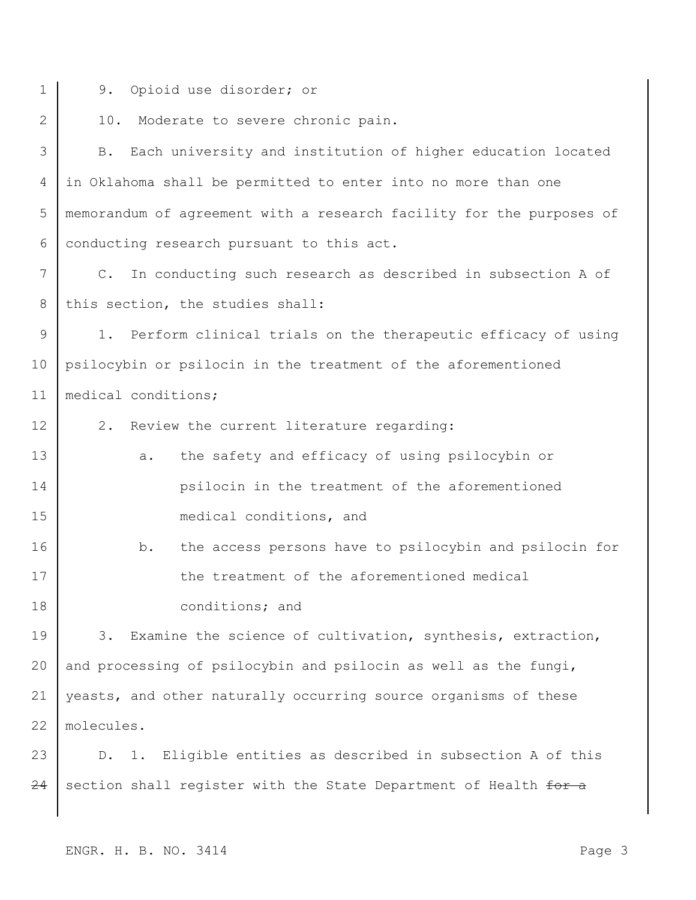- 
- 1 9. Opioid use disorder; or

2 10. Moderate to severe chronic pain.

3 B. Each university and institution of higher education located 4 in Oklahoma shall be permitted to enter into no more than one 5 memorandum of agreement with a research facility for the purposes of 6 conducting research pursuant to this act.

7 C. In conducting such research as described in subsection A of 8 this section, the studies shall:

9 1. Perform clinical trials on the therapeutic efficacy of using 10 psilocybin or psilocin in the treatment of the aforementioned 11 | medical conditions;

- 12 2. Review the current literature regarding:
- 13 a. the safety and efficacy of using psilocybin or 14 psilocin in the treatment of the aforementioned 15 medical conditions, and
- 16 b. the access persons have to psilocybin and psilocin for 17 the treatment of the aforementioned medical 18 conditions; and

19 3. Examine the science of cultivation, synthesis, extraction, and processing of psilocybin and psilocin as well as the fungi, yeasts, and other naturally occurring source organisms of these molecules.

23 D. 1. Eligible entities as described in subsection A of this  $24$  section shall register with the State Department of Health for a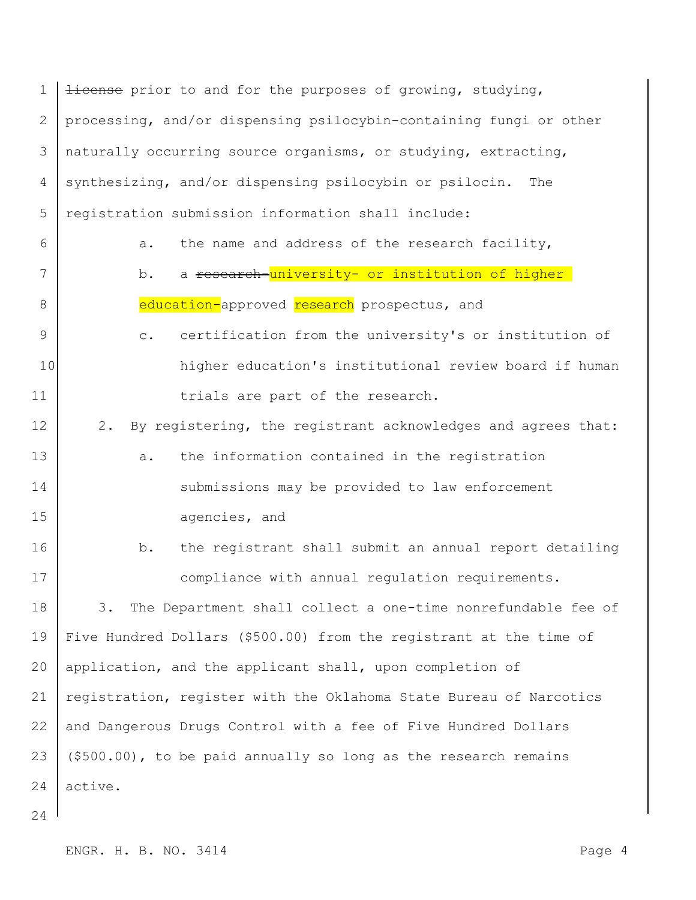1  $\frac{1}{1}$  license prior to and for the purposes of growing, studying, 2 processing, and/or dispensing psilocybin-containing fungi or other 3 naturally occurring source organisms, or studying, extracting, 4 synthesizing, and/or dispensing psilocybin or psilocin. The 5 registration submission information shall include: 6 a. the name and address of the research facility, 7 d. b. a <del>research-<mark>university- or institution of higher</mark></del> 8 education-approved research prospectus, and 9 c. certification from the university's or institution of 10 higher education's institutional review board if human 11 trials are part of the research. 12 2. By registering, the registrant acknowledges and agrees that: 13 a. the information contained in the registration 14 submissions may be provided to law enforcement 15 agencies, and 16 b. the registrant shall submit an annual report detailing 17 compliance with annual regulation requirements. 18 3. The Department shall collect a one-time nonrefundable fee of 19 Five Hundred Dollars (\$500.00) from the registrant at the time of 20 | application, and the applicant shall, upon completion of 21 | registration, register with the Oklahoma State Bureau of Narcotics 22 and Dangerous Drugs Control with a fee of Five Hundred Dollars 23 (\$500.00), to be paid annually so long as the research remains 24 active.

24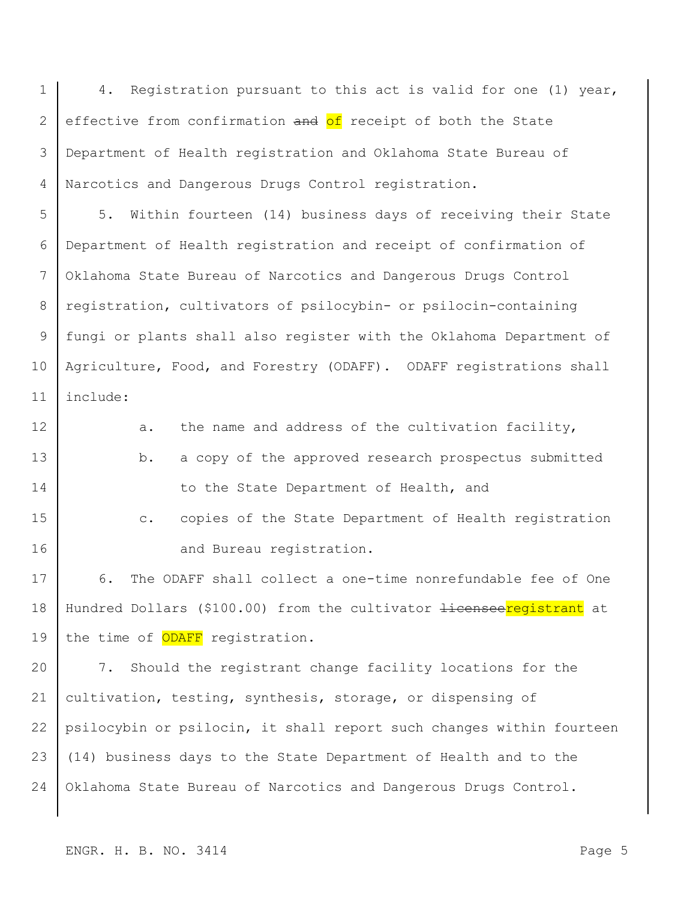1 | 4. Registration pursuant to this act is valid for one (1) year, 2 effective from confirmation and of receipt of both the State 3 Department of Health registration and Oklahoma State Bureau of 4 Narcotics and Dangerous Drugs Control registration.

5 5. Within fourteen (14) business days of receiving their State 6 Department of Health registration and receipt of confirmation of 7 Oklahoma State Bureau of Narcotics and Dangerous Drugs Control 8 registration, cultivators of psilocybin- or psilocin-containing 9 fungi or plants shall also register with the Oklahoma Department of 10 | Agriculture, Food, and Forestry (ODAFF). ODAFF registrations shall 11 include:

12 a. the name and address of the cultivation facility, 13 b. a copy of the approved research prospectus submitted 14 to the State Department of Health, and

15 c. copies of the State Department of Health registration 16 and Bureau registration.

17 6. The ODAFF shall collect a one-time nonrefundable fee of One 18 | Hundred Dollars (\$100.00) from the cultivator <del>licensee registrant</del> at 19 the time of ODAFF registration.

 7. Should the registrant change facility locations for the cultivation, testing, synthesis, storage, or dispensing of psilocybin or psilocin, it shall report such changes within fourteen (14) business days to the State Department of Health and to the Oklahoma State Bureau of Narcotics and Dangerous Drugs Control.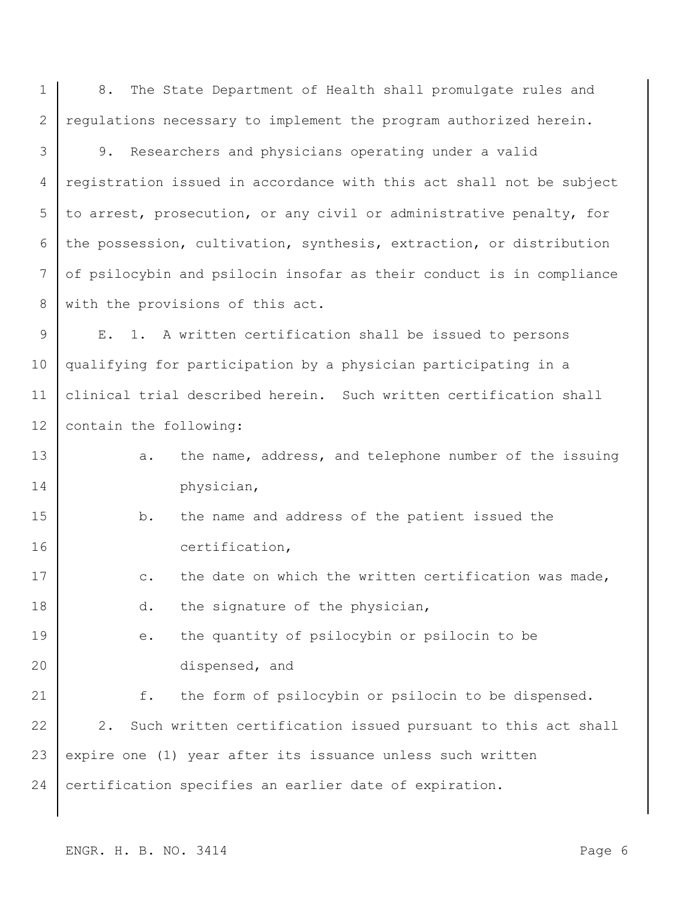1 8. The State Department of Health shall promulgate rules and 2 regulations necessary to implement the program authorized herein.

3 9. Researchers and physicians operating under a valid 4 registration issued in accordance with this act shall not be subject 5 to arrest, prosecution, or any civil or administrative penalty, for 6 the possession, cultivation, synthesis, extraction, or distribution 7 of psilocybin and psilocin insofar as their conduct is in compliance 8 with the provisions of this act.

9 | E. 1. A written certification shall be issued to persons 10 qualifying for participation by a physician participating in a 11 clinical trial described herein. Such written certification shall 12 | contain the following:

- 13 a. the name, address, and telephone number of the issuing 14 physician,
- 15 b. the name and address of the patient issued the 16 certification,
- 17 c. the date on which the written certification was made,
- 18 d. the signature of the physician,
- 19 e. the quantity of psilocybin or psilocin to be 20 dispensed, and

21 f. the form of psilocybin or psilocin to be dispensed. 22 2. Such written certification issued pursuant to this act shall 23 expire one (1) year after its issuance unless such written 24 certification specifies an earlier date of expiration.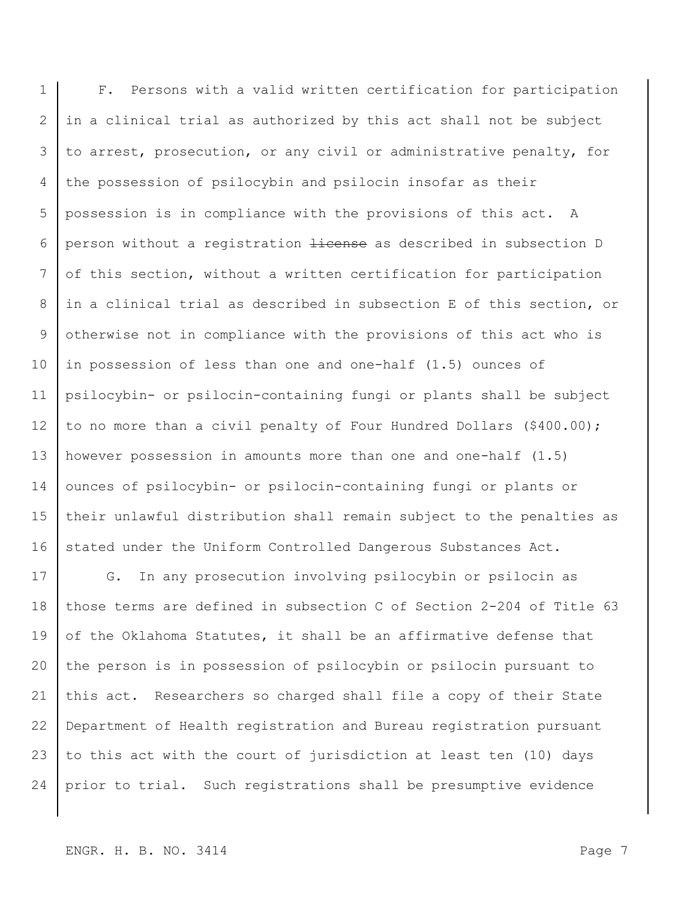1 F. Persons with a valid written certification for participation 2 in a clinical trial as authorized by this act shall not be subject 3 to arrest, prosecution, or any civil or administrative penalty, for 4 the possession of psilocybin and psilocin insofar as their 5 possession is in compliance with the provisions of this act. A 6 person without a registration <del>license</del> as described in subsection D 7 of this section, without a written certification for participation 8 in a clinical trial as described in subsection E of this section, or 9 otherwise not in compliance with the provisions of this act who is 10 in possession of less than one and one-half (1.5) ounces of 11 psilocybin- or psilocin-containing fungi or plants shall be subject 12 to no more than a civil penalty of Four Hundred Dollars (\$400.00); 13 however possession in amounts more than one and one-half (1.5) 14 ounces of psilocybin- or psilocin-containing fungi or plants or 15 their unlawful distribution shall remain subject to the penalties as 16 stated under the Uniform Controlled Dangerous Substances Act.

17 G. In any prosecution involving psilocybin or psilocin as those terms are defined in subsection C of Section 2-204 of Title 63 19 of the Oklahoma Statutes, it shall be an affirmative defense that the person is in possession of psilocybin or psilocin pursuant to this act. Researchers so charged shall file a copy of their State Department of Health registration and Bureau registration pursuant to this act with the court of jurisdiction at least ten (10) days prior to trial. Such registrations shall be presumptive evidence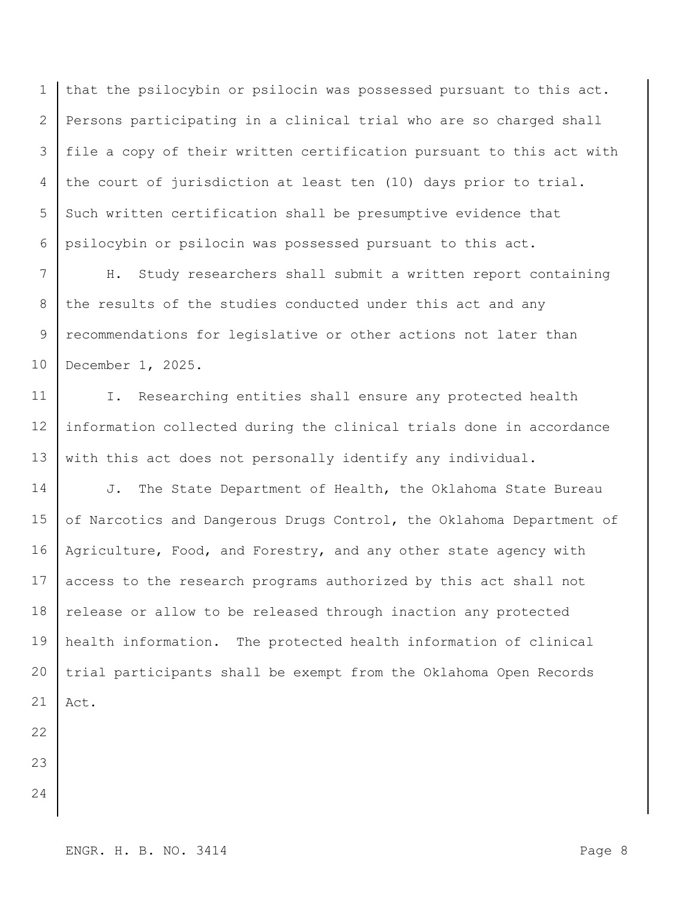that the psilocybin or psilocin was possessed pursuant to this act. Persons participating in a clinical trial who are so charged shall 3 | file a copy of their written certification pursuant to this act with the court of jurisdiction at least ten (10) days prior to trial. 5 Such written certification shall be presumptive evidence that psilocybin or psilocin was possessed pursuant to this act.

7 H. Study researchers shall submit a written report containing 8 the results of the studies conducted under this act and any 9 recommendations for legislative or other actions not later than 10 December 1, 2025.

11 | I. Researching entities shall ensure any protected health 12 information collected during the clinical trials done in accordance 13 with this act does not personally identify any individual.

14 J. The State Department of Health, the Oklahoma State Bureau 15 of Narcotics and Dangerous Drugs Control, the Oklahoma Department of 16 | Agriculture, Food, and Forestry, and any other state agency with 17 access to the research programs authorized by this act shall not 18 release or allow to be released through inaction any protected 19 health information. The protected health information of clinical 20 trial participants shall be exempt from the Oklahoma Open Records  $21$  Act.

22

23

24